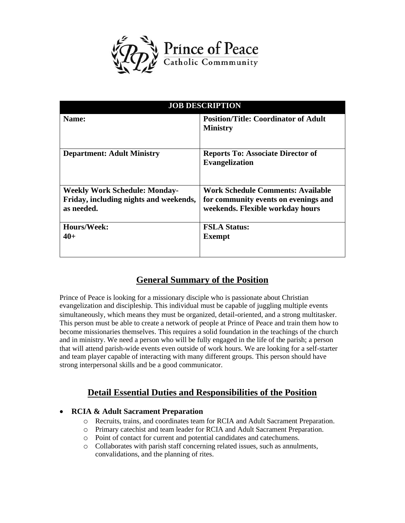

| <b>JOB DESCRIPTION</b>                 |                                                                   |
|----------------------------------------|-------------------------------------------------------------------|
| Name:                                  | <b>Position/Title: Coordinator of Adult</b><br><b>Ministry</b>    |
| <b>Department: Adult Ministry</b>      | <b>Reports To: Associate Director of</b><br><b>Evangelization</b> |
| <b>Weekly Work Schedule: Monday-</b>   | <b>Work Schedule Comments: Available</b>                          |
| Friday, including nights and weekends, | for community events on evenings and                              |
| as needed.                             | weekends. Flexible workday hours                                  |
| Hours/Week:                            | <b>FSLA Status:</b>                                               |
| $40+$                                  | <b>Exempt</b>                                                     |

# **General Summary of the Position**

Prince of Peace is looking for a missionary disciple who is passionate about Christian evangelization and discipleship. This individual must be capable of juggling multiple events simultaneously, which means they must be organized, detail-oriented, and a strong multitasker. This person must be able to create a network of people at Prince of Peace and train them how to become missionaries themselves. This requires a solid foundation in the teachings of the church and in ministry. We need a person who will be fully engaged in the life of the parish; a person that will attend parish-wide events even outside of work hours. We are looking for a self-starter and team player capable of interacting with many different groups. This person should have strong interpersonal skills and be a good communicator.

# **Detail Essential Duties and Responsibilities of the Position**

## • **RCIA & Adult Sacrament Preparation**

- o Recruits, trains, and coordinates team for RCIA and Adult Sacrament Preparation.
- o Primary catechist and team leader for RCIA and Adult Sacrament Preparation.
- o Point of contact for current and potential candidates and catechumens.
- o Collaborates with parish staff concerning related issues, such as annulments, convalidations, and the planning of rites.